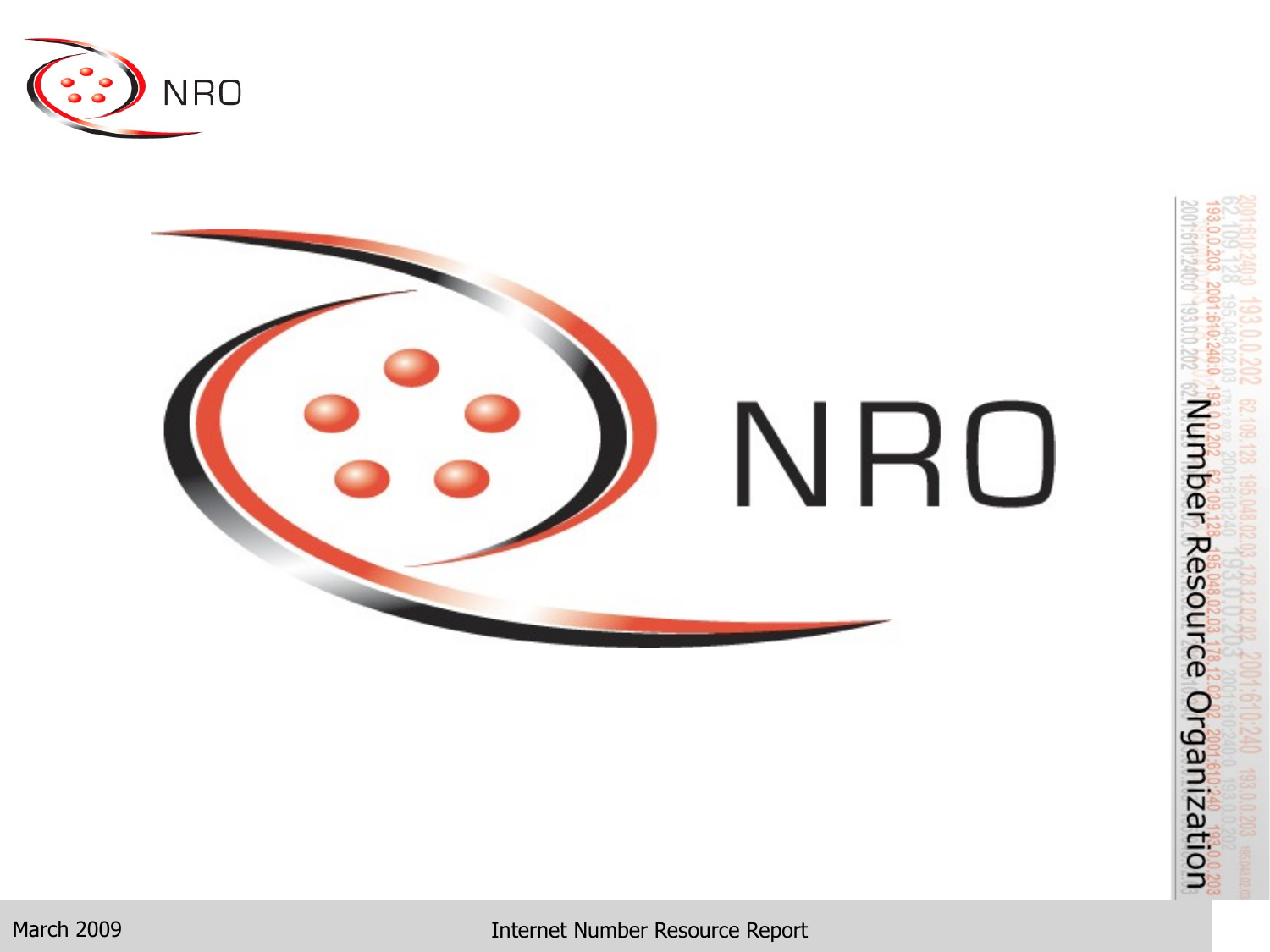



March 2009 **Internet Number Resource Report**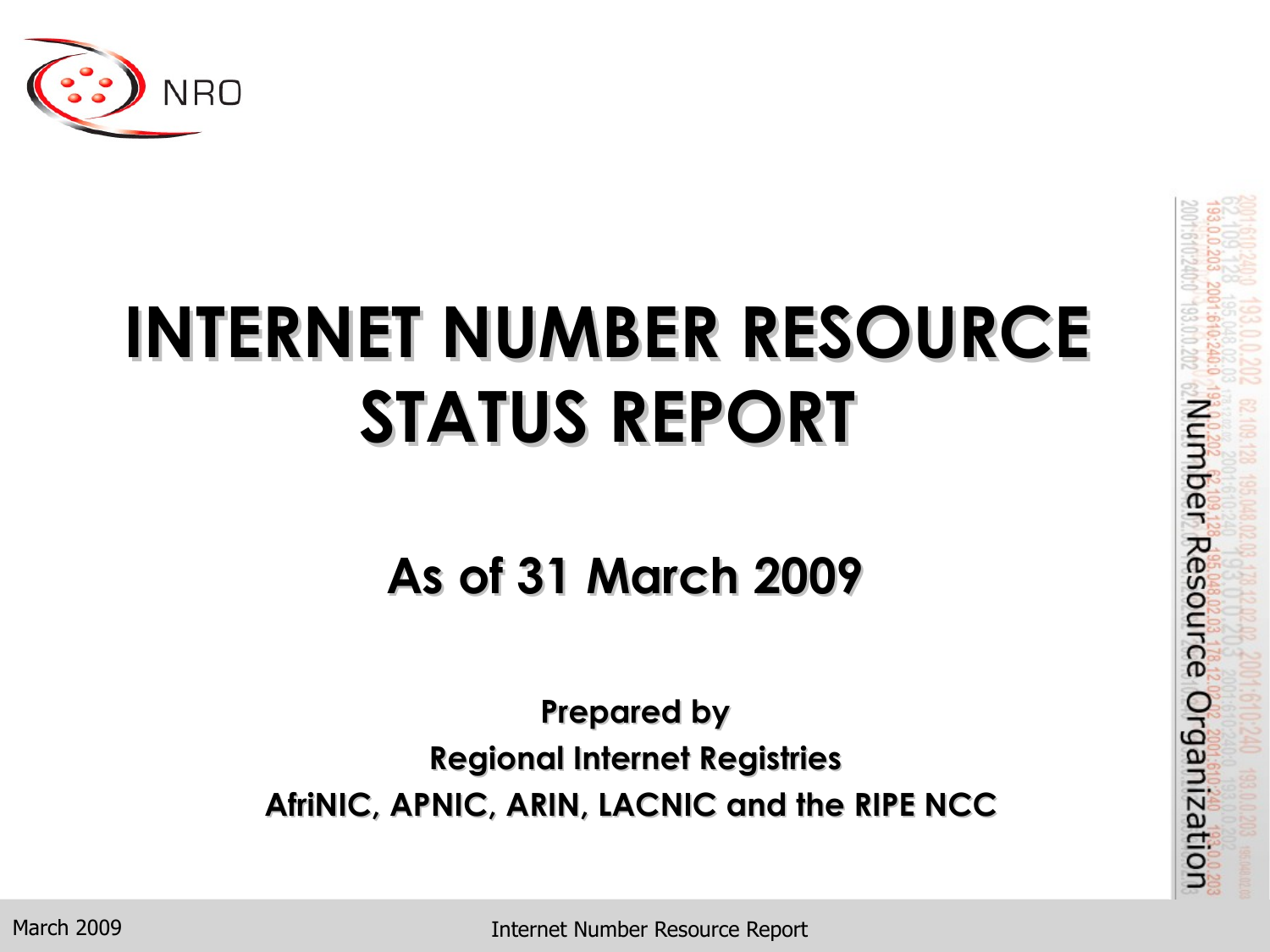

# **INTERNET NUMBER RESOURCE STATUS REPORT**

#### **As of 31 March 2009**

**Prepared by Regional Internet Registries AfriNIC, APNIC, ARIN, LACNIC and the RIPE NCC** Number Resource Organization

March 2009

Internet Number Resource Report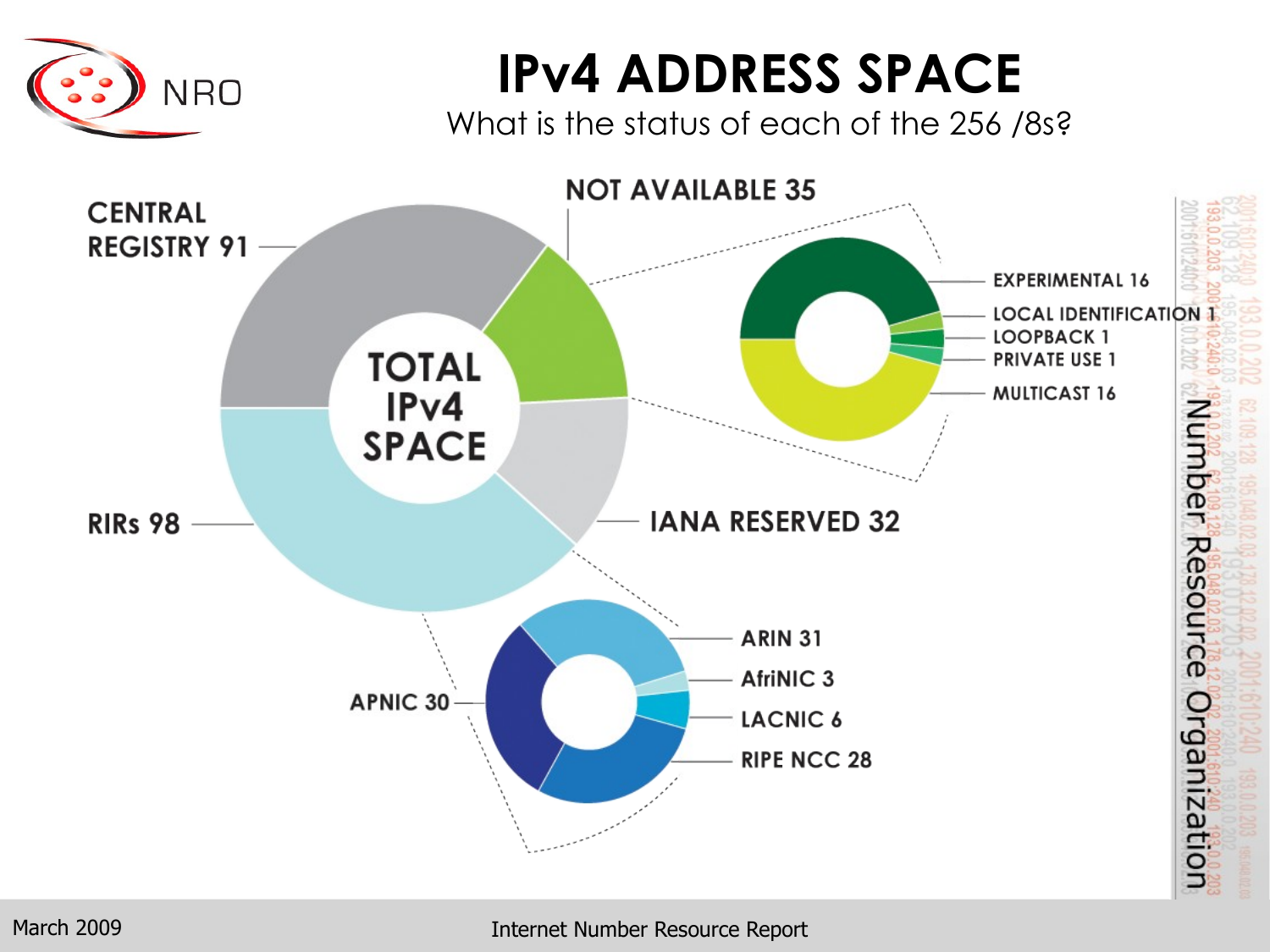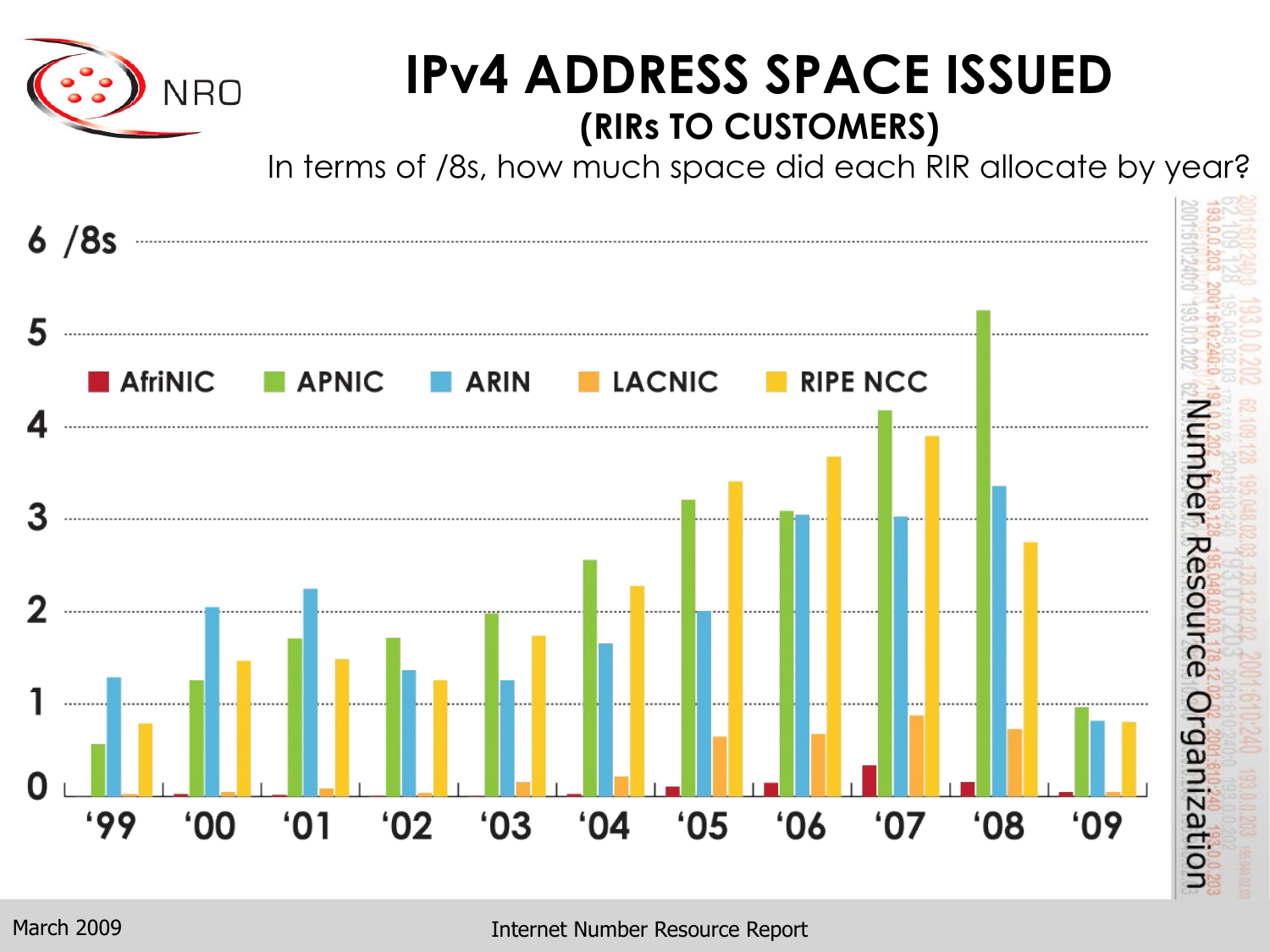

#### **IPv4 ADDRESS SPACE ISSUED (RIRs TO CUSTOMERS)**

In terms of /8s, how much space did each RIR allocate by year?

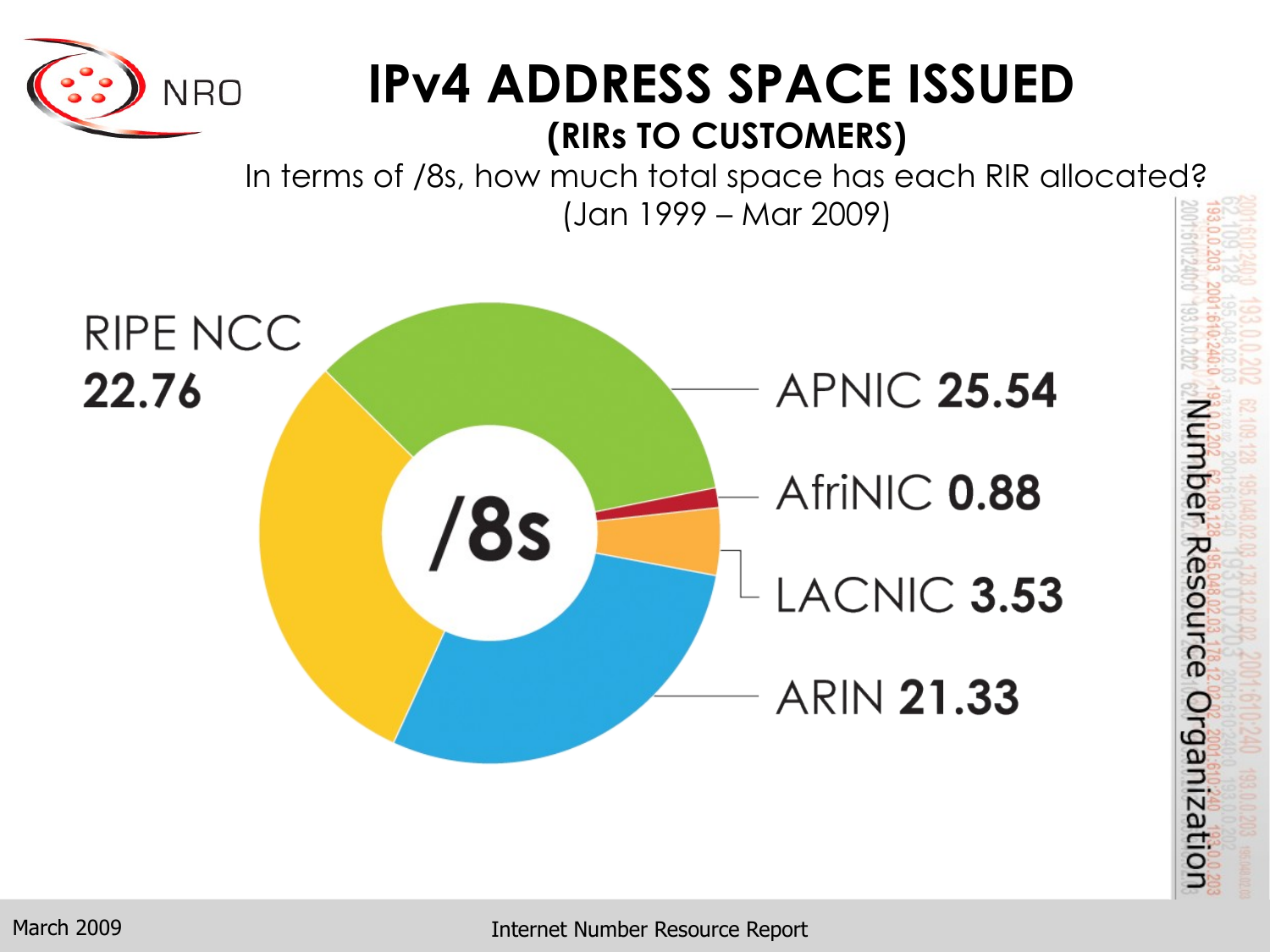

#### **IPv4 ADDRESS SPACE ISSUED (RIRs TO CUSTOMERS)**

In terms of /8s, how much total space has each RIR allocated? (Jan 1999 – Mar 2009)



Number Resource Organization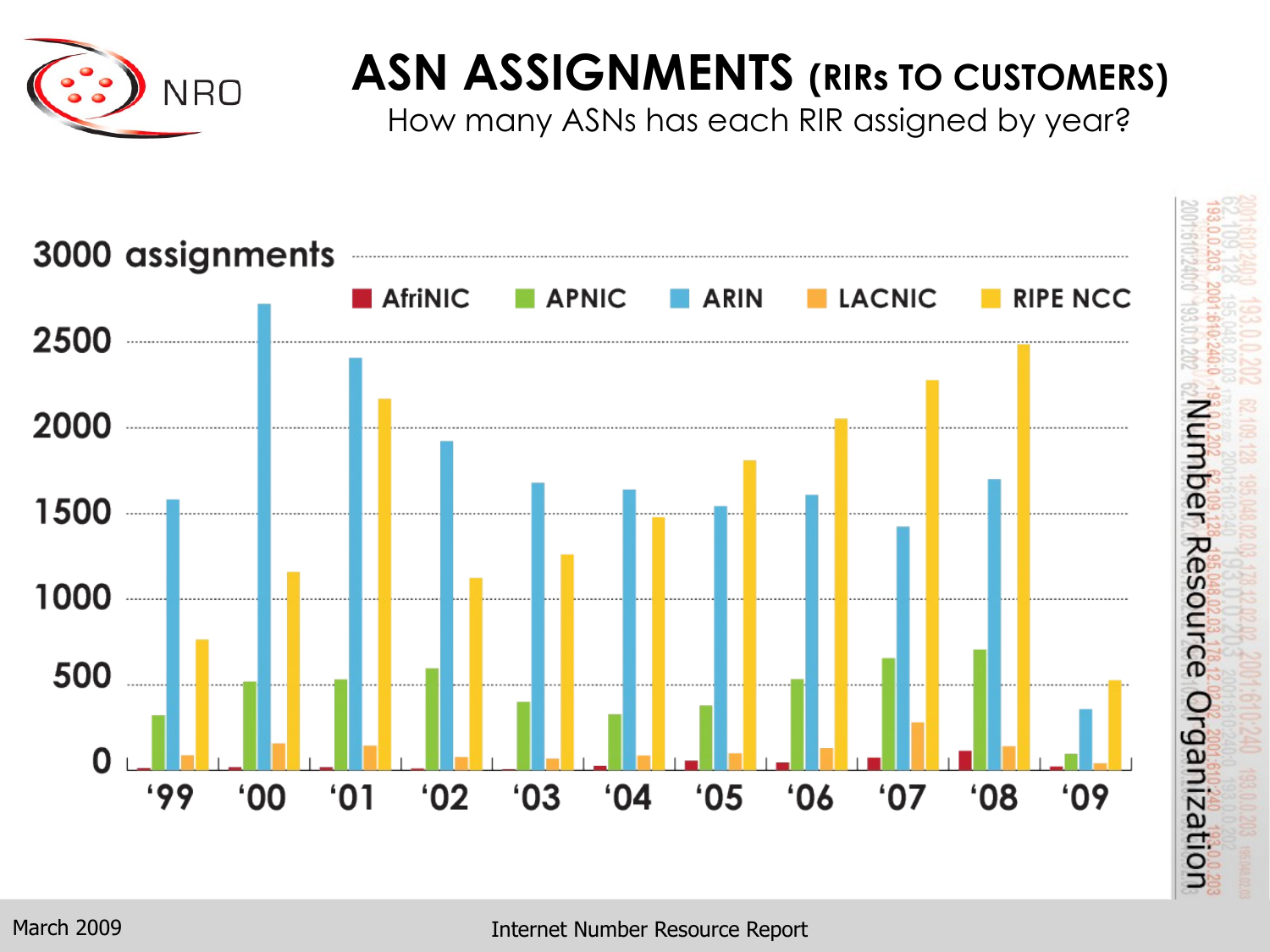

### **ASN ASSIGNMENTS (RIRs TO CUSTOMERS)**

How many ASNs has each RIR assigned by year?

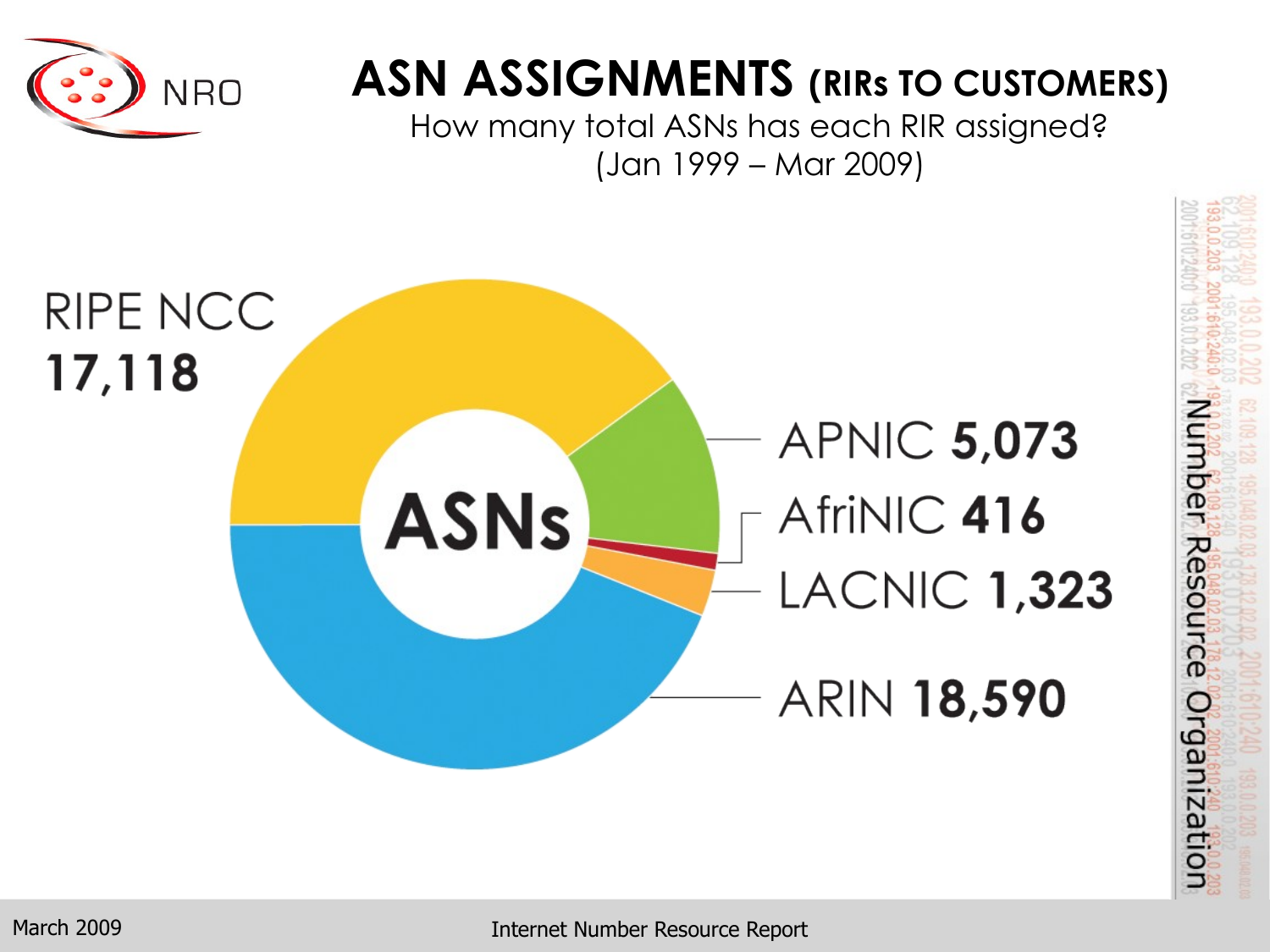

#### **ASN ASSIGNMENTS (RIRs TO CUSTOMERS)**

How many total ASNs has each RIR assigned? (Jan 1999 – Mar 2009)



Internet Number Resource Report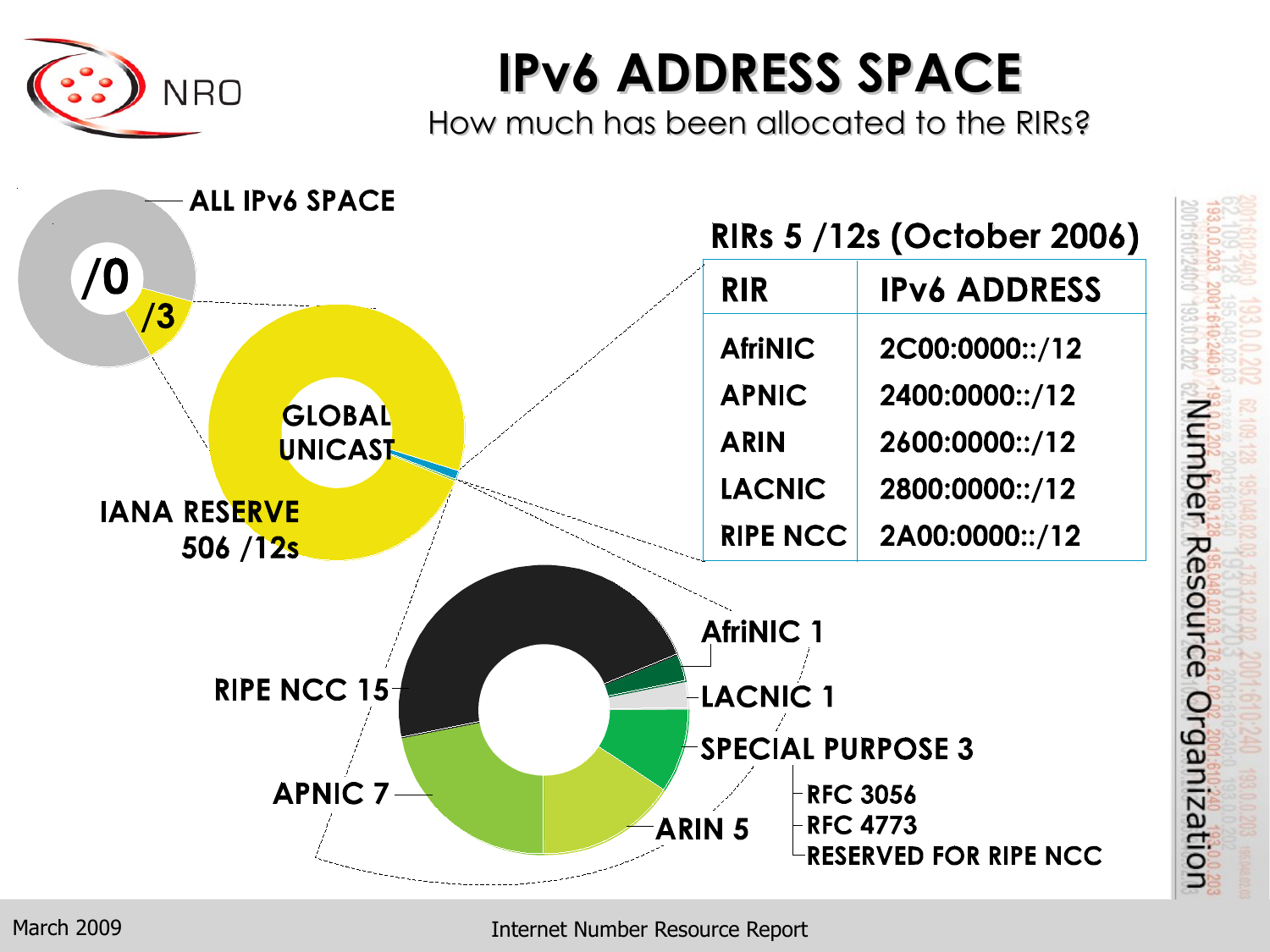

## **IPv6 ADDRESS SPACE**

How much has been allocated to the RIRs?

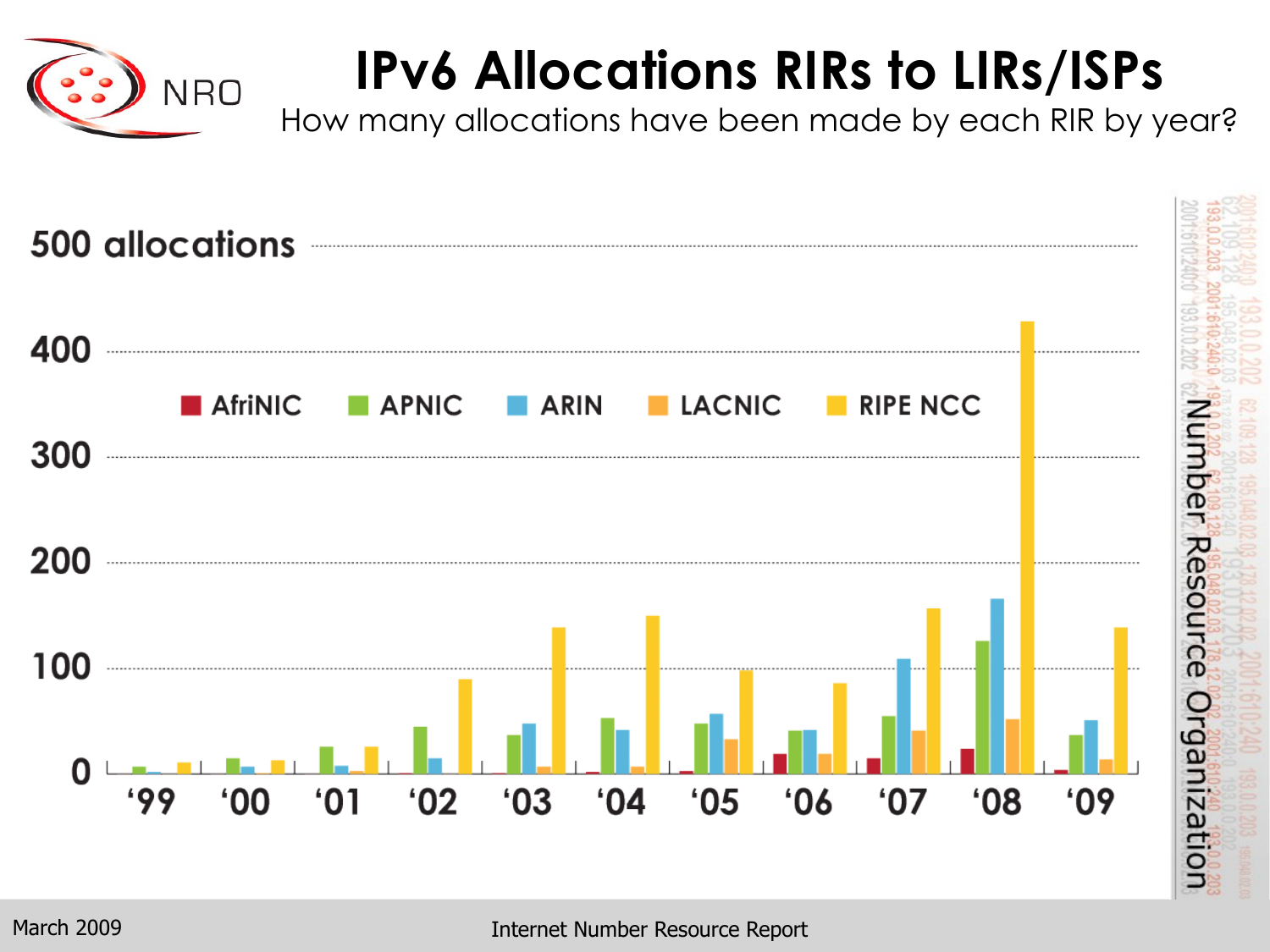

## **IPv6 Allocations RIRs to LIRs/ISPs**

How many allocations have been made by each RIR by year?

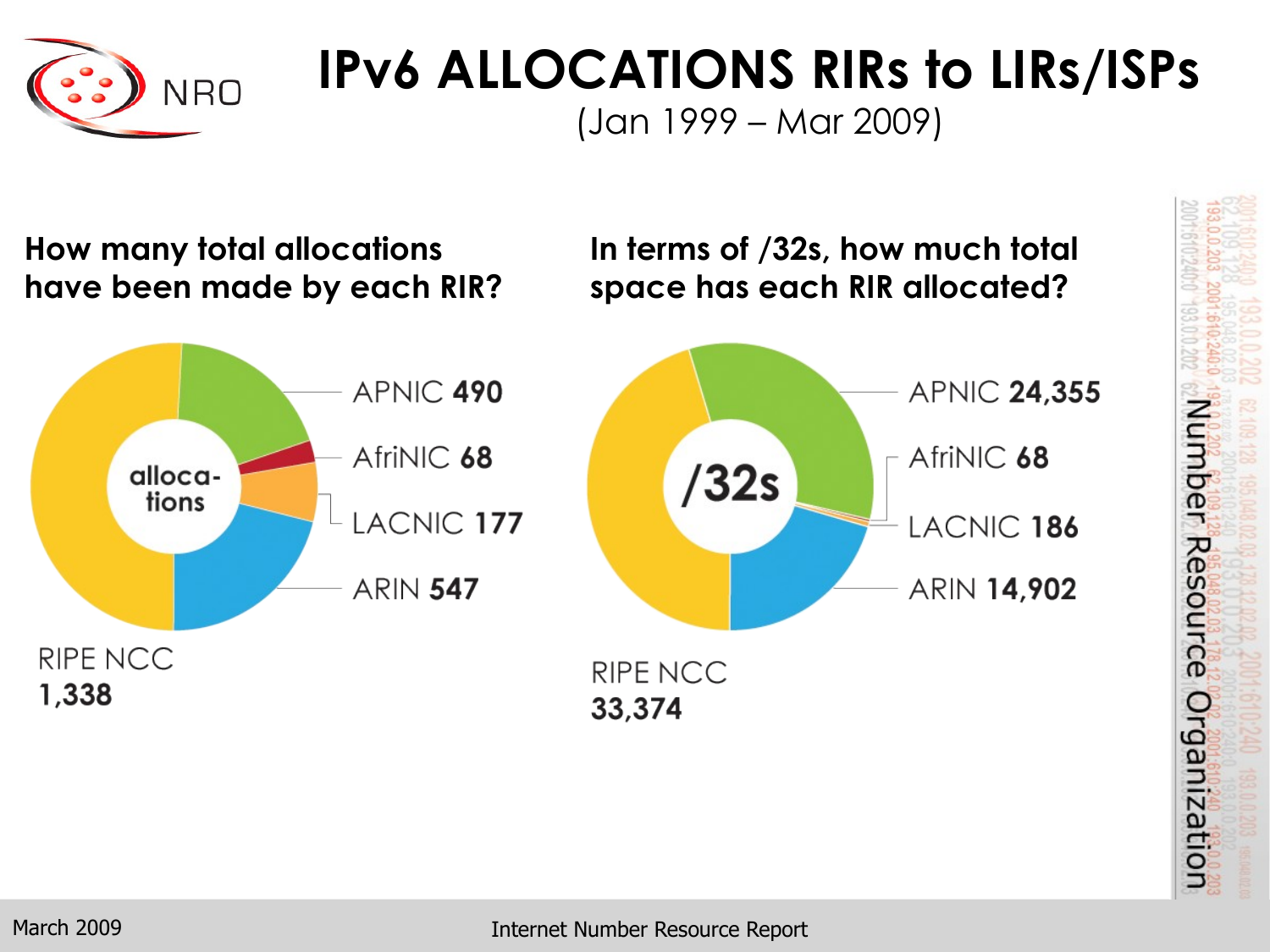

### **IPv6 ALLOCATIONS RIRs to LIRs/ISPs**

(Jan 1999 – Mar 2009)

**How many total allocations In terms of /32s, how much total have been made by each RIR? space has each RIR allocated?** APNIC 490 **APNIC 24,355** AfriNIC 68 AfriNIC 68  $/32s$ allocations LACNIC 177 LACNIC 186 ARIN 14,902 **ARIN 547** RIPE NCC RIPE NCC 1,338 33,374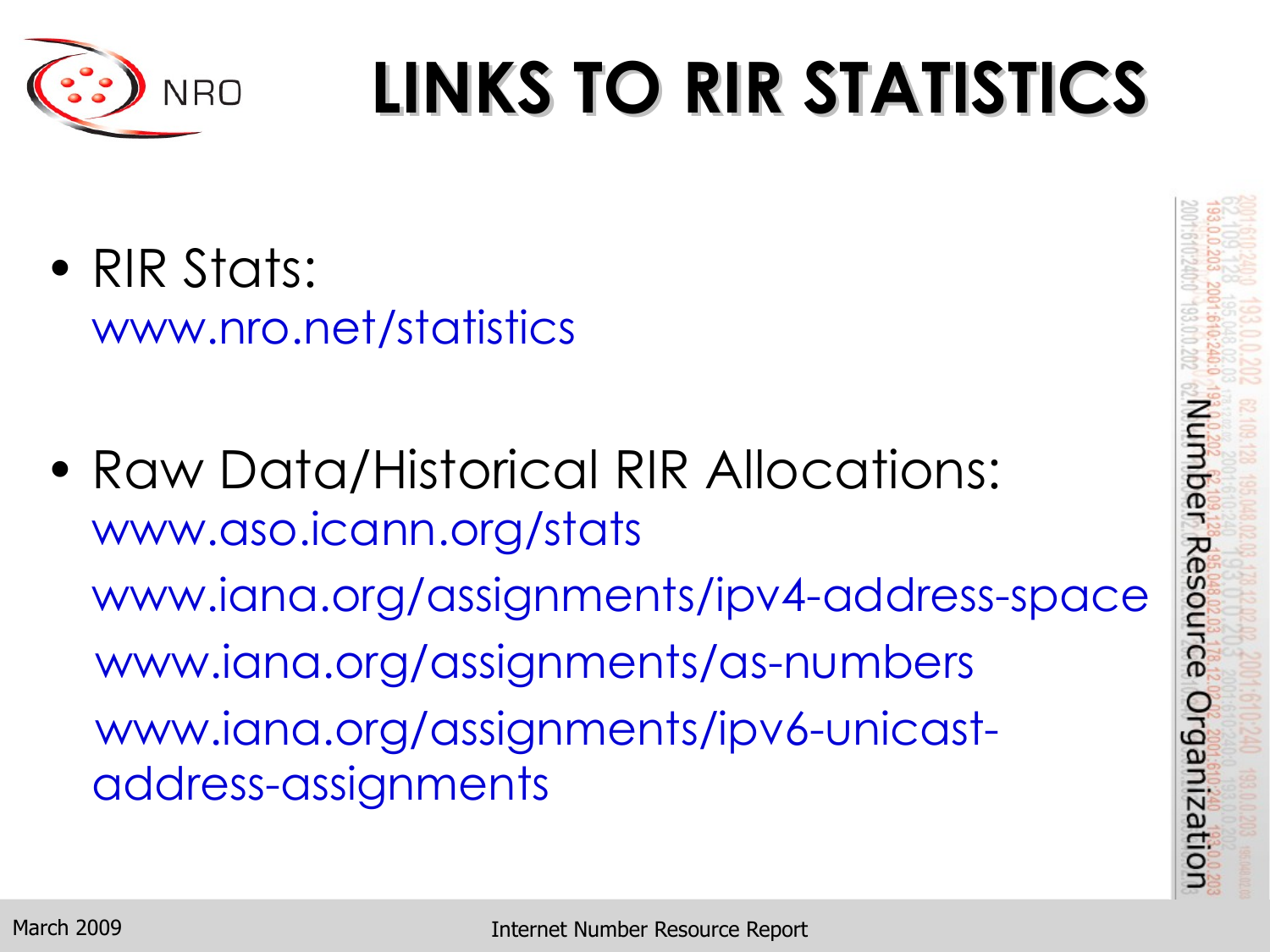

# **LINKS TO RIR STATISTICS**

- RIR Stats: www.nro.net/statistics
- Raw Data/Historical RIR Allocations: www.aso.icann.org/stats www.iana.org/assignments/ipv4-address-space www.iana.org/assignments/as-numbers www.iana.org/assignments/ipv6-unicastaddress-assignments